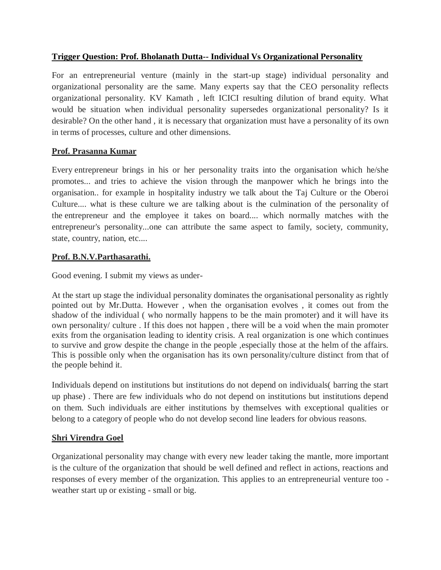## **Trigger Question: Prof. Bholanath Dutta-- Individual Vs Organizational Personality**

For an entrepreneurial venture (mainly in the start-up stage) individual personality and organizational personality are the same. Many experts say that the CEO personality reflects organizational personality. KV Kamath , left ICICI resulting dilution of brand equity. What would be situation when individual personality supersedes organizational personality? Is it desirable? On the other hand , it is necessary that organization must have a personality of its own in terms of processes, culture and other dimensions.

# **Prof. Prasanna Kumar**

Every entrepreneur brings in his or her personality traits into the organisation which he/she promotes... and tries to achieve the vision through the manpower which he brings into the organisation.. for example in hospitality industry we talk about the Taj Culture or the Oberoi Culture.... what is these culture we are talking about is the culmination of the personality of the entrepreneur and the employee it takes on board.... which normally matches with the entrepreneur's personality...one can attribute the same aspect to family, society, community, state, country, nation, etc....

### **Prof. B.N.V.Parthasarathi.**

Good evening. I submit my views as under-

At the start up stage the individual personality dominates the organisational personality as rightly pointed out by Mr.Dutta. However , when the organisation evolves , it comes out from the shadow of the individual ( who normally happens to be the main promoter) and it will have its own personality/ culture . If this does not happen , there will be a void when the main promoter exits from the organisation leading to identity crisis. A real organization is one which continues to survive and grow despite the change in the people ,especially those at the helm of the affairs. This is possible only when the organisation has its own personality/culture distinct from that of the people behind it.

Individuals depend on institutions but institutions do not depend on individuals( barring the start up phase) . There are few individuals who do not depend on institutions but institutions depend on them. Such individuals are either institutions by themselves with exceptional qualities or belong to a category of people who do not develop second line leaders for obvious reasons.

### **Shri Virendra Goel**

Organizational personality may change with every new leader taking the mantle, more important is the culture of the organization that should be well defined and reflect in actions, reactions and responses of every member of the organization. This applies to an entrepreneurial venture too weather start up or existing - small or big.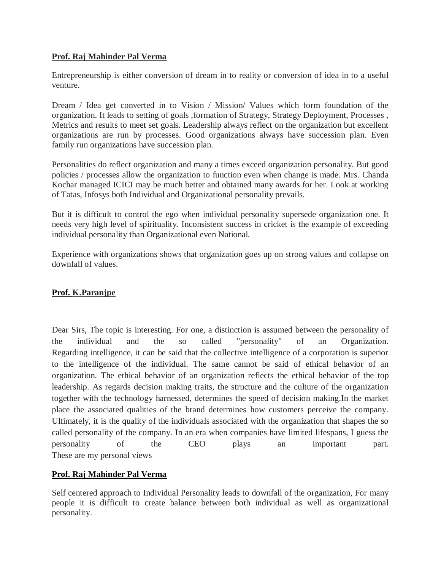#### **Prof. Raj Mahinder Pal Verma**

Entrepreneurship is either conversion of dream in to reality or conversion of idea in to a useful venture.

Dream / Idea get converted in to Vision / Mission/ Values which form foundation of the organization. It leads to setting of goals ,formation of Strategy, Strategy Deployment, Processes , Metrics and results to meet set goals. Leadership always reflect on the organization but excellent organizations are run by processes. Good organizations always have succession plan. Even family run organizations have succession plan.

Personalities do reflect organization and many a times exceed organization personality. But good policies / processes allow the organization to function even when change is made. Mrs. Chanda Kochar managed ICICI may be much better and obtained many awards for her. Look at working of Tatas, Infosys both Individual and Organizational personality prevails.

But it is difficult to control the ego when individual personality supersede organization one. It needs very high level of spirituality. Inconsistent success in cricket is the example of exceeding individual personality than Organizational even National.

Experience with organizations shows that organization goes up on strong values and collapse on downfall of values.

### **Prof. K.Paranjpe**

Dear Sirs, The topic is interesting. For one, a distinction is assumed between the personality of the individual and the so called "personality" of an Organization. Regarding intelligence, it can be said that the collective intelligence of a corporation is superior to the intelligence of the individual. The same cannot be said of ethical behavior of an organization. The ethical behavior of an organization reflects the ethical behavior of the top leadership. As regards decision making traits, the structure and the culture of the organization together with the technology harnessed, determines the speed of decision making.In the market place the associated qualities of the brand determines how customers perceive the company. Ultimately, it is the quality of the individuals associated with the organization that shapes the so called personality of the company. In an era when companies have limited lifespans, I guess the personality of the CEO plays an important part. These are my personal views

### **Prof. Raj Mahinder Pal Verma**

Self centered approach to Individual Personality leads to downfall of the organization, For many people it is difficult to create balance between both individual as well as organizational personality.